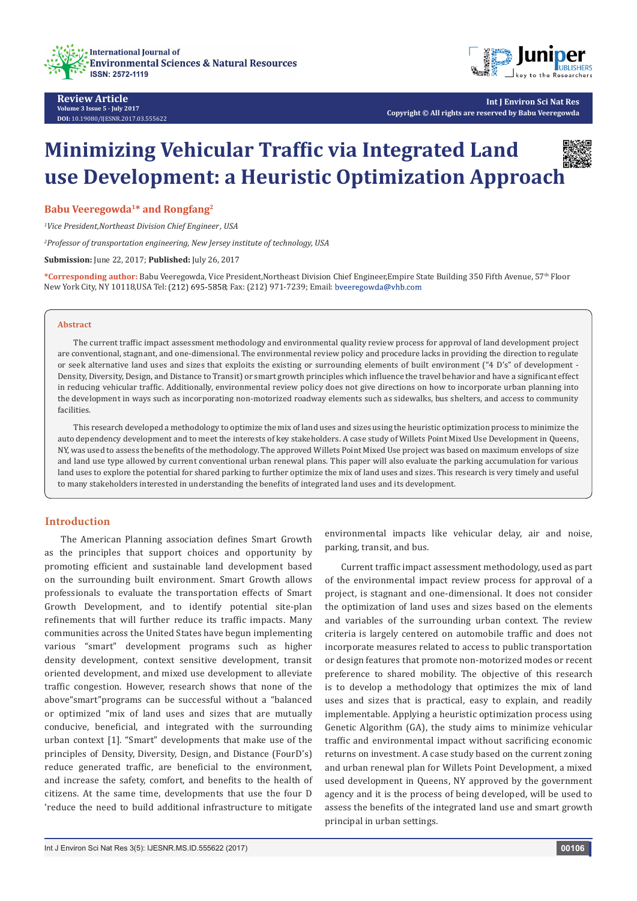



**Int J Environ Sci Nat Res Copyright © All rights are reserved by Babu Veeregowda**

# **Minimizing Vehicular Traffic via Integrated Land use Development: a Heuristic Optimization Approach**

**Babu Veeregowda1\* and Rongfang2** 

*1 Vice President,Northeast Division Chief Engineer , USA*

*2 Professor of transportation engineering, New Jersey institute of technology, USA*

**Submission:** June 22, 2017; **Published:** July 26, 2017

**\*Corresponding author:** Babu Veeregowda, Vice President,Northeast Division Chief Engineer,Empire State Building 350 Fifth Avenue, 57th Floor New York City, NY 10118, USA Tel: (212) 695-5858; Fax: (212) 971-7239; Email: bveeregowda@vhb.com

#### **Abstract**

The current traffic impact assessment methodology and environmental quality review process for approval of land development project are conventional, stagnant, and one-dimensional. The environmental review policy and procedure lacks in providing the direction to regulate or seek alternative land uses and sizes that exploits the existing or surrounding elements of built environment ("4 D's" of development - Density, Diversity, Design, and Distance to Transit) or smart growth principles which influence the travel behavior and have a significant effect in reducing vehicular traffic. Additionally, environmental review policy does not give directions on how to incorporate urban planning into the development in ways such as incorporating non-motorized roadway elements such as sidewalks, bus shelters, and access to community facilities.

This research developed a methodology to optimize the mix of land uses and sizes using the heuristic optimization process to minimize the auto dependency development and to meet the interests of key stakeholders. A case study of Willets Point Mixed Use Development in Queens, NY, was used to assess the benefits of the methodology. The approved Willets Point Mixed Use project was based on maximum envelops of size and land use type allowed by current conventional urban renewal plans. This paper will also evaluate the parking accumulation for various land uses to explore the potential for shared parking to further optimize the mix of land uses and sizes. This research is very timely and useful to many stakeholders interested in understanding the benefits of integrated land uses and its development.

## **Introduction**

The American Planning association defines Smart Growth as the principles that support choices and opportunity by promoting efficient and sustainable land development based on the surrounding built environment. Smart Growth allows professionals to evaluate the transportation effects of Smart Growth Development, and to identify potential site-plan refinements that will further reduce its traffic impacts. Many communities across the United States have begun implementing various "smart" development programs such as higher density development, context sensitive development, transit oriented development, and mixed use development to alleviate traffic congestion. However, research shows that none of the above"smart"programs can be successful without a "balanced or optimized "mix of land uses and sizes that are mutually conducive, beneficial, and integrated with the surrounding urban context [1]. "Smart" developments that make use of the principles of Density, Diversity, Design, and Distance (FourD's) reduce generated traffic, are beneficial to the environment, and increase the safety, comfort, and benefits to the health of citizens. At the same time, developments that use the four D 'reduce the need to build additional infrastructure to mitigate

environmental impacts like vehicular delay, air and noise, parking, transit, and bus.

Current traffic impact assessment methodology, used as part of the environmental impact review process for approval of a project, is stagnant and one-dimensional. It does not consider the optimization of land uses and sizes based on the elements and variables of the surrounding urban context. The review criteria is largely centered on automobile traffic and does not incorporate measures related to access to public transportation or design features that promote non-motorized modes or recent preference to shared mobility. The objective of this research is to develop a methodology that optimizes the mix of land uses and sizes that is practical, easy to explain, and readily implementable. Applying a heuristic optimization process using Genetic Algorithm (GA), the study aims to minimize vehicular traffic and environmental impact without sacrificing economic returns on investment. A case study based on the current zoning and urban renewal plan for Willets Point Development, a mixed used development in Queens, NY approved by the government agency and it is the process of being developed, will be used to assess the benefits of the integrated land use and smart growth principal in urban settings.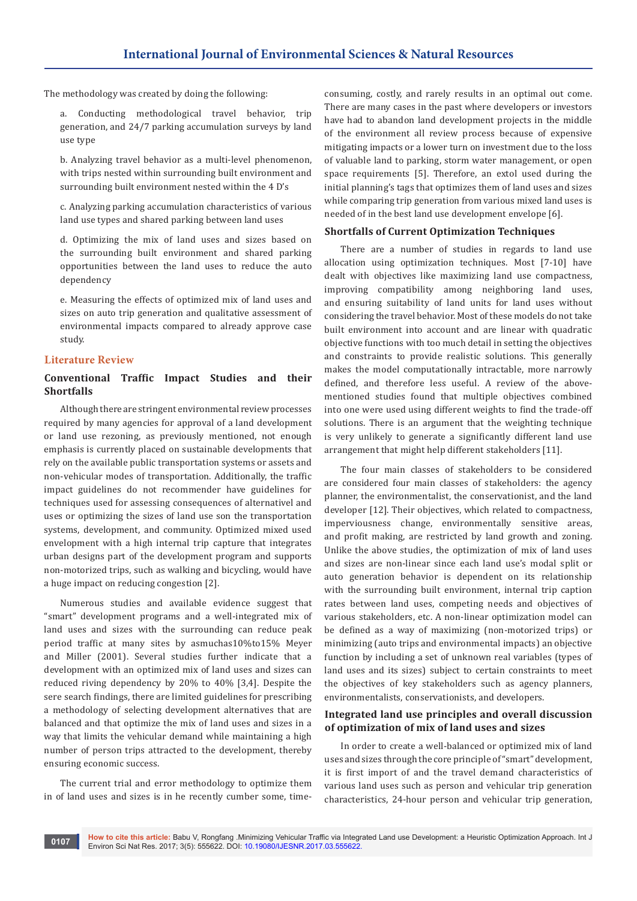The methodology was created by doing the following:

a. Conducting methodological travel behavior, trip generation, and 24/7 parking accumulation surveys by land use type

b. Analyzing travel behavior as a multi-level phenomenon, with trips nested within surrounding built environment and surrounding built environment nested within the 4 D's

c. Analyzing parking accumulation characteristics of various land use types and shared parking between land uses

d. Optimizing the mix of land uses and sizes based on the surrounding built environment and shared parking opportunities between the land uses to reduce the auto dependency

e. Measuring the effects of optimized mix of land uses and sizes on auto trip generation and qualitative assessment of environmental impacts compared to already approve case study.

### **Literature Review**

## **Conventional Traffic Impact Studies and their Shortfalls**

Although there are stringent environmental review processes required by many agencies for approval of a land development or land use rezoning, as previously mentioned, not enough emphasis is currently placed on sustainable developments that rely on the available public transportation systems or assets and non-vehicular modes of transportation. Additionally, the traffic impact guidelines do not recommender have guidelines for techniques used for assessing consequences of alternativel and uses or optimizing the sizes of land use son the transportation systems, development, and community. Optimized mixed used envelopment with a high internal trip capture that integrates urban designs part of the development program and supports non-motorized trips, such as walking and bicycling, would have a huge impact on reducing congestion [2].

Numerous studies and available evidence suggest that "smart" development programs and a well-integrated mix of land uses and sizes with the surrounding can reduce peak period traffic at many sites by asmuchas10%to15% Meyer and Miller (2001). Several studies further indicate that a development with an optimized mix of land uses and sizes can reduced riving dependency by 20% to 40% [3,4]. Despite the sere search findings, there are limited guidelines for prescribing a methodology of selecting development alternatives that are balanced and that optimize the mix of land uses and sizes in a way that limits the vehicular demand while maintaining a high number of person trips attracted to the development, thereby ensuring economic success.

The current trial and error methodology to optimize them in of land uses and sizes is in he recently cumber some, timeconsuming, costly, and rarely results in an optimal out come. There are many cases in the past where developers or investors have had to abandon land development projects in the middle of the environment all review process because of expensive mitigating impacts or a lower turn on investment due to the loss of valuable land to parking, storm water management, or open space requirements [5]. Therefore, an extol used during the initial planning's tags that optimizes them of land uses and sizes while comparing trip generation from various mixed land uses is needed of in the best land use development envelope [6].

## **Shortfalls of Current Optimization Techniques**

There are a number of studies in regards to land use allocation using optimization techniques. Most [7-10] have dealt with objectives like maximizing land use compactness, improving compatibility among neighboring land uses, and ensuring suitability of land units for land uses without considering the travel behavior. Most of these models do not take built environment into account and are linear with quadratic objective functions with too much detail in setting the objectives and constraints to provide realistic solutions. This generally makes the model computationally intractable, more narrowly defined, and therefore less useful. A review of the abovementioned studies found that multiple objectives combined into one were used using different weights to find the trade-off solutions. There is an argument that the weighting technique is very unlikely to generate a significantly different land use arrangement that might help different stakeholders [11].

The four main classes of stakeholders to be considered are considered four main classes of stakeholders: the agency planner, the environmentalist, the conservationist, and the land developer [12]. Their objectives, which related to compactness, imperviousness change, environmentally sensitive areas, and profit making, are restricted by land growth and zoning. Unlike the above studies, the optimization of mix of land uses and sizes are non-linear since each land use's modal split or auto generation behavior is dependent on its relationship with the surrounding built environment, internal trip caption rates between land uses, competing needs and objectives of various stakeholders, etc. A non-linear optimization model can be defined as a way of maximizing (non-motorized trips) or minimizing (auto trips and environmental impacts) an objective function by including a set of unknown real variables (types of land uses and its sizes) subject to certain constraints to meet the objectives of key stakeholders such as agency planners, environmentalists, conservationists, and developers.

## **Integrated land use principles and overall discussion of optimization of mix of land uses and sizes**

In order to create a well-balanced or optimized mix of land uses and sizes through the core principle of "smart" development, it is first import of and the travel demand characteristics of various land uses such as person and vehicular trip generation characteristics, 24-hour person and vehicular trip generation,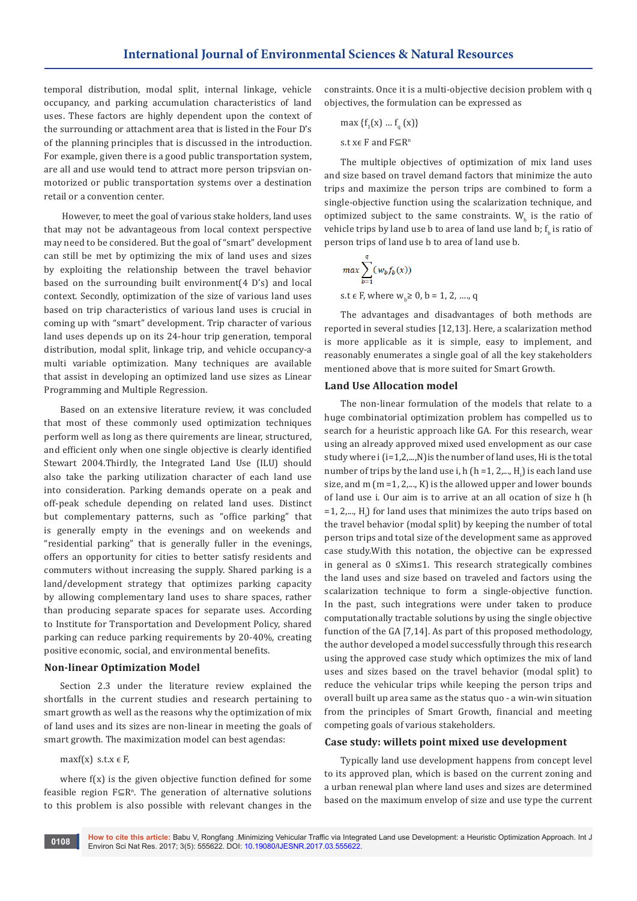temporal distribution, modal split, internal linkage, vehicle occupancy, and parking accumulation characteristics of land uses. These factors are highly dependent upon the context of the surrounding or attachment area that is listed in the Four D's of the planning principles that is discussed in the introduction. For example, given there is a good public transportation system, are all and use would tend to attract more person tripsvian onmotorized or public transportation systems over a destination retail or a convention center.

 However, to meet the goal of various stake holders, land uses that may not be advantageous from local context perspective may need to be considered. But the goal of "smart" development can still be met by optimizing the mix of land uses and sizes by exploiting the relationship between the travel behavior based on the surrounding built environment(4 D's) and local context. Secondly, optimization of the size of various land uses based on trip characteristics of various land uses is crucial in coming up with "smart" development. Trip character of various land uses depends up on its 24-hour trip generation, temporal distribution, modal split, linkage trip, and vehicle occupancy-a multi variable optimization. Many techniques are available that assist in developing an optimized land use sizes as Linear Programming and Multiple Regression.

Based on an extensive literature review, it was concluded that most of these commonly used optimization techniques perform well as long as there quirements are linear, structured, and efficient only when one single objective is clearly identified Stewart 2004.Thirdly, the Integrated Land Use (ILU) should also take the parking utilization character of each land use into consideration. Parking demands operate on a peak and off-peak schedule depending on related land uses. Distinct but complementary patterns, such as "office parking" that is generally empty in the evenings and on weekends and "residential parking" that is generally fuller in the evenings, offers an opportunity for cities to better satisfy residents and commuters without increasing the supply. Shared parking is a land/development strategy that optimizes parking capacity by allowing complementary land uses to share spaces, rather than producing separate spaces for separate uses. According to Institute for Transportation and Development Policy, shared parking can reduce parking requirements by 20-40%, creating positive economic, social, and environmental benefits.

#### **Non-linear Optimization Model**

Section 2.3 under the literature review explained the shortfalls in the current studies and research pertaining to smart growth as well as the reasons why the optimization of mix of land uses and its sizes are non-linear in meeting the goals of smart growth. The maximization model can best agendas:

maxf(x) s.t.x  $\in$  F,

where f(x) is the given objective function defined for some feasible region  $F \subseteq R^n$ . The generation of alternative solutions to this problem is also possible with relevant changes in the

constraints. Once it is a multi-objective decision problem with q objectives, the formulation can be expressed as

$$
\max \{f_1(x) \dots f_q(x)\}
$$
  
s.t  $x \in F$  and  $F \subseteq R^n$ 

The multiple objectives of optimization of mix land uses and size based on travel demand factors that minimize the auto trips and maximize the person trips are combined to form a single-objective function using the scalarization technique, and optimized subject to the same constraints.  $W_{b}$  is the ratio of vehicle trips by land use b to area of land use land b;  ${\rm t_b}$  is ratio of person trips of land use b to area of land use b.

$$
max \sum_{b=1}^{q} (w_b f_b(x))
$$
  
s.t  $\in$  F, where  $w_b \ge 0$ ,  $b = 1, 2, ..., q$ 

The advantages and disadvantages of both methods are reported in several studies [12,13]. Here, a scalarization method is more applicable as it is simple, easy to implement, and reasonably enumerates a single goal of all the key stakeholders mentioned above that is more suited for Smart Growth.

### **Land Use Allocation model**

The non-linear formulation of the models that relate to a huge combinatorial optimization problem has compelled us to search for a heuristic approach like GA. For this research, wear using an already approved mixed used envelopment as our case study where i (i=1,2,...,N) is the number of land uses, Hi is the total number of trips by the land use  $i$ , h (h =1, 2,..., H<sub>i</sub>) is each land use size, and  $m$  ( $m$  =1,  $2,...$ ,  $K$ ) is the allowed upper and lower bounds of land use i. Our aim is to arrive at an all ocation of size h (h =1,  $2,...$ ,  $H<sub>i</sub>$ ) for land uses that minimizes the auto trips based on the travel behavior (modal split) by keeping the number of total person trips and total size of the development same as approved case study.With this notation, the objective can be expressed in general as 0 ≤Xim≤1. This research strategically combines the land uses and size based on traveled and factors using the scalarization technique to form a single-objective function. In the past, such integrations were under taken to produce computationally tractable solutions by using the single objective function of the GA [7,14]. As part of this proposed methodology, the author developed a model successfully through this research using the approved case study which optimizes the mix of land uses and sizes based on the travel behavior (modal split) to reduce the vehicular trips while keeping the person trips and overall built up area same as the status quo - a win-win situation from the principles of Smart Growth, financial and meeting competing goals of various stakeholders.

# **Case study: willets point mixed use development**

Typically land use development happens from concept level to its approved plan, which is based on the current zoning and a urban renewal plan where land uses and sizes are determined based on the maximum envelop of size and use type the current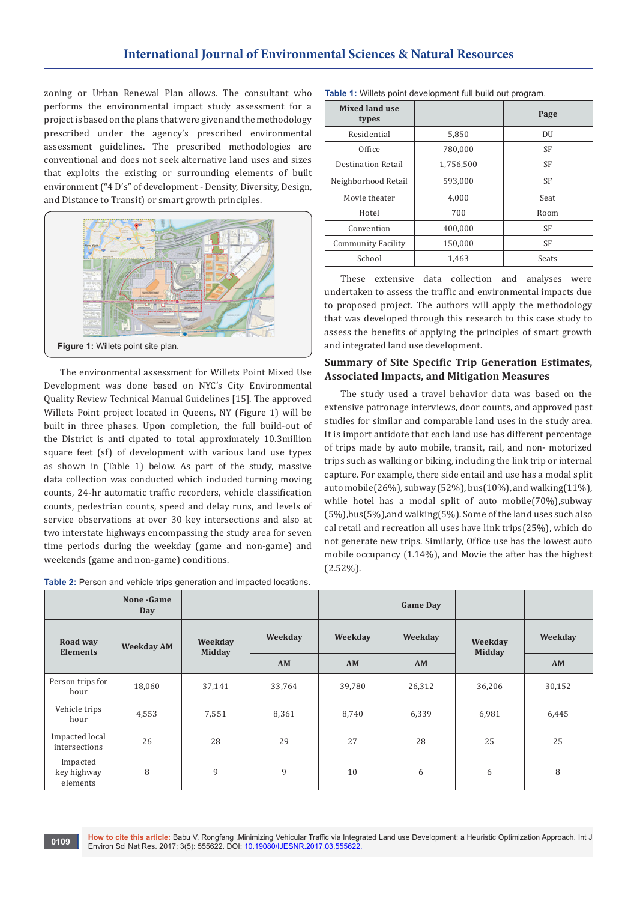zoning or Urban Renewal Plan allows. The consultant who performs the environmental impact study assessment for a project is based on the plans that were given and the methodology prescribed under the agency's prescribed environmental assessment guidelines. The prescribed methodologies are conventional and does not seek alternative land uses and sizes that exploits the existing or surrounding elements of built environment ("4 D's" of development - Density, Diversity, Design, and Distance to Transit) or smart growth principles.



The environmental assessment for Willets Point Mixed Use Development was done based on NYC's City Environmental Quality Review Technical Manual Guidelines [15]. The approved Willets Point project located in Queens, NY (Figure 1) will be built in three phases. Upon completion, the full build-out of the District is anti cipated to total approximately 10.3million square feet (sf) of development with various land use types as shown in (Table 1) below. As part of the study, massive data collection was conducted which included turning moving counts, 24-hr automatic traffic recorders, vehicle classification counts, pedestrian counts, speed and delay runs, and levels of service observations at over 30 key intersections and also at two interstate highways encompassing the study area for seven time periods during the weekday (game and non-game) and weekends (game and non-game) conditions.

| Table 2: Person and vehicle trips generation and impacted locations. |  |  |  |  |
|----------------------------------------------------------------------|--|--|--|--|
|----------------------------------------------------------------------|--|--|--|--|

| <b>Mixed land use</b><br>types |           | Page      |
|--------------------------------|-----------|-----------|
| Residential                    | 5,850     | DU        |
| Office                         | 780,000   | <b>SF</b> |
| <b>Destination Retail</b>      | 1,756,500 | <b>SF</b> |
| Neighborhood Retail            | 593,000   | <b>SF</b> |
| Movie theater                  | 4,000     | Seat      |
| Hotel                          | 700       | Room      |
| Convention                     | 400,000   | SF        |
| <b>Community Facility</b>      | 150,000   | <b>SF</b> |
| School                         | 1,463     | Seats     |

**Table 1:** Willets point development full build out program.

These extensive data collection and analyses were undertaken to assess the traffic and environmental impacts due to proposed project. The authors will apply the methodology that was developed through this research to this case study to assess the benefits of applying the principles of smart growth and integrated land use development.

## **Summary of Site Specific Trip Generation Estimates, Associated Impacts, and Mitigation Measures**

The study used a travel behavior data was based on the extensive patronage interviews, door counts, and approved past studies for similar and comparable land uses in the study area. It is import antidote that each land use has different percentage of trips made by auto mobile, transit, rail, and non- motorized trips such as walking or biking, including the link trip or internal capture. For example, there side entail and use has a modal split auto mobile(26%), subway (52%), bus(10%), and walking(11%), while hotel has a modal split of auto mobile $(70\%)$ , subway (5%),bus(5%),and walking(5%). Some of the land uses such also cal retail and recreation all uses have link trips(25%), which do not generate new trips. Similarly, Office use has the lowest auto mobile occupancy (1.14%), and Movie the after has the highest (2.52%).

|                                     | None - Game<br>Day               |         |         |        | <b>Game Day</b> |                          |         |
|-------------------------------------|----------------------------------|---------|---------|--------|-----------------|--------------------------|---------|
| Road way                            | <b>Weekday AM</b>                | Weekday | Weekday |        | Weekday         | Weekday<br><b>Midday</b> | Weekday |
|                                     | <b>Midday</b><br><b>Elements</b> |         | AM      | AM     | AM              |                          | AM      |
| Person trips for<br>hour            | 18,060                           | 37,141  | 33,764  | 39,780 | 26,312          | 36,206                   | 30,152  |
| Vehicle trips<br>hour               | 4,553                            | 7,551   | 8,361   | 8,740  | 6,339           | 6,981                    | 6,445   |
| Impacted local<br>intersections     | 26                               | 28      | 29      | 27     | 28              | 25                       | 25      |
| Impacted<br>key highway<br>elements | 8                                | 9       | 9       | 10     | 6               | 6                        | 8       |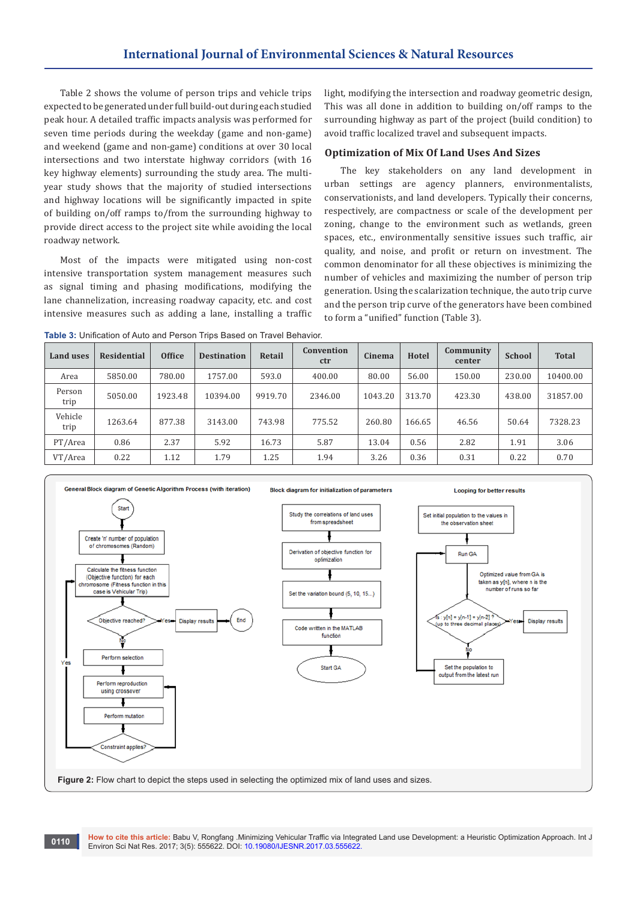Table 2 shows the volume of person trips and vehicle trips expected to be generated under full build-out during each studied peak hour. A detailed traffic impacts analysis was performed for seven time periods during the weekday (game and non-game) and weekend (game and non-game) conditions at over 30 local intersections and two interstate highway corridors (with 16 key highway elements) surrounding the study area. The multiyear study shows that the majority of studied intersections and highway locations will be significantly impacted in spite of building on/off ramps to/from the surrounding highway to provide direct access to the project site while avoiding the local roadway network.

Most of the impacts were mitigated using non-cost intensive transportation system management measures such as signal timing and phasing modifications, modifying the lane channelization, increasing roadway capacity, etc. and cost intensive measures such as adding a lane, installing a traffic light, modifying the intersection and roadway geometric design, This was all done in addition to building on/off ramps to the surrounding highway as part of the project (build condition) to avoid traffic localized travel and subsequent impacts.

### **Optimization of Mix Of Land Uses And Sizes**

The key stakeholders on any land development in urban settings are agency planners, environmentalists, conservationists, and land developers. Typically their concerns, respectively, are compactness or scale of the development per zoning, change to the environment such as wetlands, green spaces, etc., environmentally sensitive issues such traffic, air quality, and noise, and profit or return on investment. The common denominator for all these objectives is minimizing the number of vehicles and maximizing the number of person trip generation. Using the scalarization technique, the auto trip curve and the person trip curve of the generators have been combined to form a "unified" function (Table 3).

**Table 3:** Unification of Auto and Person Trips Based on Travel Behavior.

| Land uses       | <b>Residential</b> | <b>Office</b> | <b>Destination</b> | Retail  | Convention<br>ctr | Cinema  | Hotel  | Community<br>center | <b>School</b> | <b>Total</b> |
|-----------------|--------------------|---------------|--------------------|---------|-------------------|---------|--------|---------------------|---------------|--------------|
| Area            | 5850.00            | 780.00        | 1757.00            | 593.0   | 400.00            | 80.00   | 56.00  | 150.00              | 230.00        | 10400.00     |
| Person<br>trip  | 5050.00            | 1923.48       | 10394.00           | 9919.70 | 2346.00           | 1043.20 | 313.70 | 423.30              | 438.00        | 31857.00     |
| Vehicle<br>trip | 1263.64            | 877.38        | 3143.00            | 743.98  | 775.52            | 260.80  | 166.65 | 46.56               | 50.64         | 7328.23      |
| PT/Area         | 0.86               | 2.37          | 5.92               | 16.73   | 5.87              | 13.04   | 0.56   | 2.82                | 1.91          | 3.06         |
| VT/Area         | 0.22               | 1.12          | 1.79               | 1.25    | 1.94              | 3.26    | 0.36   | 0.31                | 0.22          | 0.70         |

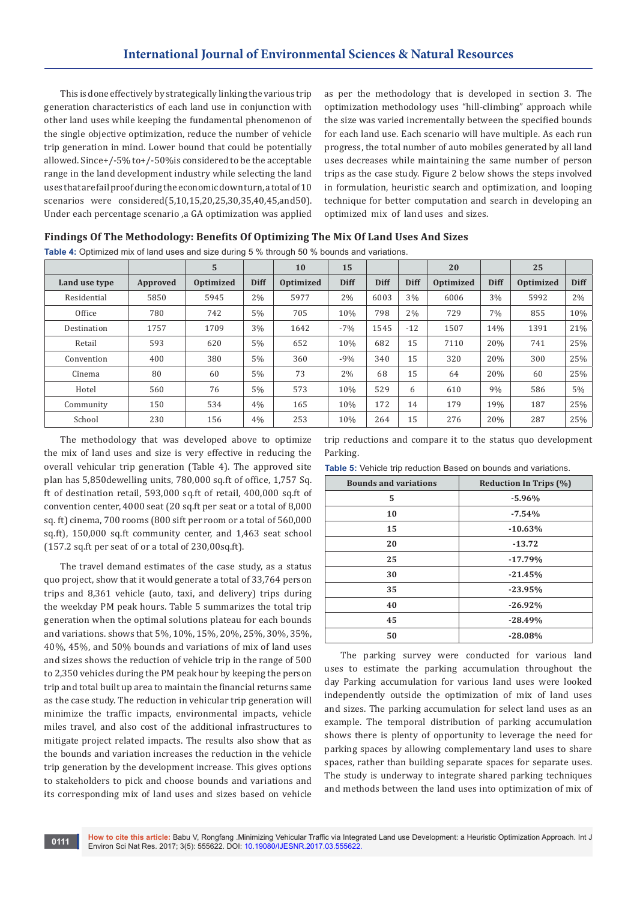This is done effectively by strategically linking the various trip generation characteristics of each land use in conjunction with other land uses while keeping the fundamental phenomenon of the single objective optimization, reduce the number of vehicle trip generation in mind. Lower bound that could be potentially allowed. Since+/-5% to+/-50%is considered to be the acceptable range in the land development industry while selecting the land uses that are fail proof during the economic down turn, a total of 10 scenarios were considered(5,10,15,20,25,30,35,40,45,and50). Under each percentage scenario ,a GA optimization was applied

as per the methodology that is developed in section 3. The optimization methodology uses "hill-climbing" approach while the size was varied incrementally between the specified bounds for each land use. Each scenario will have multiple. As each run progress, the total number of auto mobiles generated by all land uses decreases while maintaining the same number of person trips as the case study. Figure 2 below shows the steps involved in formulation, heuristic search and optimization, and looping technique for better computation and search in developing an optimized mix of land uses and sizes.

| Findings Of The Methodology: Benefits Of Optimizing The Mix Of Land Uses And Sizes |  |  |  |
|------------------------------------------------------------------------------------|--|--|--|
|------------------------------------------------------------------------------------|--|--|--|

**Table 4:** Optimized mix of land uses and size during 5 % through 50 % bounds and variations.

|               |          | 5         |             | 10        | 15          |             |             | 20        |             | 25        |             |
|---------------|----------|-----------|-------------|-----------|-------------|-------------|-------------|-----------|-------------|-----------|-------------|
| Land use type | Approved | Optimized | <b>Diff</b> | Optimized | <b>Diff</b> | <b>Diff</b> | <b>Diff</b> | Optimized | <b>Diff</b> | Optimized | <b>Diff</b> |
| Residential   | 5850     | 5945      | 2%          | 5977      | 2%          | 6003        | 3%          | 6006      | 3%          | 5992      | 2%          |
| Office        | 780      | 742       | 5%          | 705       | 10%         | 798         | 2%          | 729       | 7%          | 855       | 10%         |
| Destination   | 1757     | 1709      | 3%          | 1642      | $-7%$       | 1545        | $-12$       | 1507      | 14%         | 1391      | 21%         |
| Retail        | 593      | 620       | 5%          | 652       | 10%         | 682         | 15          | 7110      | 20%         | 741       | 25%         |
| Convention    | 400      | 380       | 5%          | 360       | $-9%$       | 340         | 15          | 320       | 20%         | 300       | 25%         |
| Cinema        | 80       | 60        | 5%          | 73        | 2%          | 68          | 15          | 64        | 20%         | 60        | 25%         |
| Hotel         | 560      | 76        | 5%          | 573       | 10%         | 529         | 6           | 610       | 9%          | 586       | $5\%$       |
| Community     | 150      | 534       | 4%          | 165       | 10%         | 172         | 14          | 179       | 19%         | 187       | 25%         |
| School        | 230      | 156       | 4%          | 253       | 10%         | 264         | 15          | 276       | 20%         | 287       | 25%         |

The methodology that was developed above to optimize the mix of land uses and size is very effective in reducing the overall vehicular trip generation (Table 4). The approved site plan has 5,850dewelling units, 780,000 sq.ft of office, 1,757 Sq. ft of destination retail, 593,000 sq.ft of retail, 400,000 sq.ft of convention center, 4000 seat (20 sq.ft per seat or a total of 8,000 sq. ft) cinema, 700 rooms (800 sift per room or a total of 560,000 sq.ft), 150,000 sq.ft community center, and 1,463 seat school (157.2 sq.ft per seat of or a total of 230,00sq.ft).

The travel demand estimates of the case study, as a status quo project, show that it would generate a total of 33,764 person trips and 8,361 vehicle (auto, taxi, and delivery) trips during the weekday PM peak hours. Table 5 summarizes the total trip generation when the optimal solutions plateau for each bounds and variations. shows that 5%, 10%, 15%, 20%, 25%, 30%, 35%, 40%, 45%, and 50% bounds and variations of mix of land uses and sizes shows the reduction of vehicle trip in the range of 500 to 2,350 vehicles during the PM peak hour by keeping the person trip and total built up area to maintain the financial returns same as the case study. The reduction in vehicular trip generation will minimize the traffic impacts, environmental impacts, vehicle miles travel, and also cost of the additional infrastructures to mitigate project related impacts. The results also show that as the bounds and variation increases the reduction in the vehicle trip generation by the development increase. This gives options to stakeholders to pick and choose bounds and variations and its corresponding mix of land uses and sizes based on vehicle

trip reductions and compare it to the status quo development Parking.

**Table 5:** Vehicle trip reduction Based on bounds and variations.

| <b>Bounds and variations</b> | Reduction In Trips (%) |
|------------------------------|------------------------|
| 5                            | $-5.96%$               |
| 10                           | $-7.54%$               |
| 15                           | $-10.63%$              |
| 20                           | $-13.72$               |
| 25                           | $-17.79%$              |
| 30                           | $-21.45%$              |
| 35                           | $-23.95%$              |
| 40                           | $-26.92%$              |
| 45                           | $-28.49%$              |
| 50                           | $-28.08%$              |

The parking survey were conducted for various land uses to estimate the parking accumulation throughout the day Parking accumulation for various land uses were looked independently outside the optimization of mix of land uses and sizes. The parking accumulation for select land uses as an example. The temporal distribution of parking accumulation shows there is plenty of opportunity to leverage the need for parking spaces by allowing complementary land uses to share spaces, rather than building separate spaces for separate uses. The study is underway to integrate shared parking techniques and methods between the land uses into optimization of mix of